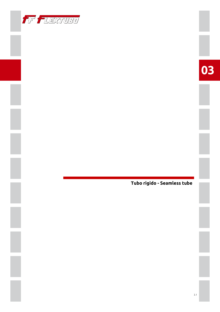



Tubo rigido - Seamless tube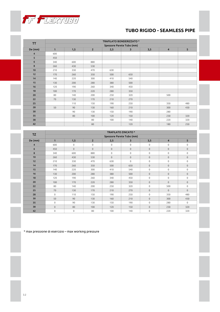

## **TUBO RIGIDO - SEAMLESS PIPE**

|            | <b>TRAFILATO BONDERIZZATO*</b><br>Spessore Parete Tubo (mm) |               |                |               |                          |               |                |        |  |  |
|------------|-------------------------------------------------------------|---------------|----------------|---------------|--------------------------|---------------|----------------|--------|--|--|
| TT         |                                                             |               |                |               |                          |               |                |        |  |  |
| De (mm)    | $\mathbf{1}$                                                | 1,5           | $\overline{2}$ | 2,5           | 3                        | 3,5           | $\overline{4}$ | 5      |  |  |
| 4          | 600                                                         |               |                |               |                          |               |                |        |  |  |
| 5          | 450                                                         |               |                |               |                          |               |                |        |  |  |
| 6          | 340                                                         | 600           | 880            |               |                          |               |                |        |  |  |
| 8          | 260                                                         | 430           | 530            |               |                          |               |                |        |  |  |
| 10         | 210                                                         | 330           | 470            | 630           |                          |               |                |        |  |  |
| 12         | 170                                                         | 260           | 350            | 500           | 650                      |               |                |        |  |  |
| 14         | 140                                                         | 220           | 300            | 410           | 540                      |               |                |        |  |  |
| 15         | 130                                                         | 200           | 280            | 380           | 500                      |               |                |        |  |  |
| 16         | 120                                                         | 190           | 260            | 340           | 450                      |               |                |        |  |  |
| 18         | 100                                                         | 170           | 220            | 280           | 350                      |               |                |        |  |  |
| 20         | 80                                                          | 140           | 200            | 250           | 320                      |               | 500            |        |  |  |
| 22         | 70                                                          | 130           | 170            | 210           | 270                      |               |                |        |  |  |
| 25         |                                                             | 110           | 150            | 190           | 250                      |               | 350            | 480    |  |  |
| 28         | 50                                                          | 90            | 130            | 160           | 210                      |               | 300            | 430    |  |  |
| 30         |                                                             | 90            | 130            | 150           | 190                      |               | 280            |        |  |  |
| 35         |                                                             | 80            | 100            | 120           | 150                      |               | 230            | 320    |  |  |
| 38         |                                                             |               | 80             | 100           | 140                      |               | 220            | 320    |  |  |
| 42         |                                                             |               | 80             |               | 120                      |               | 180            | 250    |  |  |
|            | <b>TRAFILATO ZINCATO *</b>                                  |               |                |               |                          |               |                |        |  |  |
| <b>TZ</b>  | Spessore Parete Tubo (mm)                                   |               |                |               |                          |               |                |        |  |  |
| $\sim 1.1$ | $\overline{a}$                                              | $\sim$ $\sim$ | $\sim$         | $\sim$ $\sim$ | $\overline{\phantom{0}}$ | $\sim$ $\sim$ | $\overline{a}$ | $\sim$ |  |  |

|                | Spessore Parete Tubo (mm) |             |                     |              |                     |                     |                     |                     |  |  |  |
|----------------|---------------------------|-------------|---------------------|--------------|---------------------|---------------------|---------------------|---------------------|--|--|--|
| De (mm)        | $\mathbf{1}$              | 1,5         | $\overline{2}$      | 2,5          | 3                   | 3,5                 | $\overline{a}$      | 5                   |  |  |  |
| $\overline{4}$ | 600                       | $\mathbf 0$ | $\mathsf 0$         | $\mathbf 0$  | $\mathsf 0$         | $\mathbf 0$         | $\mathbf 0$         | $\mathsf 0$         |  |  |  |
| 6              | 450                       | $\mathbf 0$ | $\mathsf{O}\xspace$ | $\mathsf{O}$ | $\mathsf{O}\xspace$ | $\mathsf{O}$        | $\mathsf{O}\xspace$ | $\mathbf 0$         |  |  |  |
| 8              | 340                       | 600         | 880                 | $\mathsf{O}$ | $\mathsf 0$         | $\mathbf 0$         | $\mathbf 0$         | $\mathsf 0$         |  |  |  |
| 10             | 260                       | 430         | 530                 | $\mathsf{O}$ | $\mathsf{O}\xspace$ | $\mathsf{O}\xspace$ | $\mathsf{O}\xspace$ | $\mathsf{O}\xspace$ |  |  |  |
| 12             | 210                       | 330         | 470                 | 630          | $\mathsf 0$         | $\mathbf 0$         | $\mathbf 0$         | $\mathsf 0$         |  |  |  |
| 14             | 170                       | 260         | 350                 | 500          | 650                 | $\mathbf 0$         | $\mathbf 0$         | $\mathsf{O}\xspace$ |  |  |  |
| 15             | 140                       | 220         | 300                 | 410          | 540                 | $\mathbf 0$         | $\mathbf 0$         | $\mathbf 0$         |  |  |  |
| 16             | 130                       | 200         | 280                 | 380          | 500                 | $\mathbf 0$         | $\mathsf{O}\xspace$ | $\mathsf{O}\xspace$ |  |  |  |
| 18             | 120                       | 190         | 260                 | 340          | 450                 | $\mathsf{O}\xspace$ | $\mathbf 0$         | $\mathbf 0$         |  |  |  |
| 20             | 100                       | 170         | 220                 | 280          | 350                 | $\mathbf 0$         | $\mathbf{0}$        | 0                   |  |  |  |
| 22             | 80                        | 140         | 200                 | 250          | 320                 | $\mathsf{O}\xspace$ | 500                 | 0                   |  |  |  |
| 25             | 70                        | 130         | 170                 | 210          | 270                 | $\mathbf 0$         | $\mathsf{O}\xspace$ | $\mathsf{O}\xspace$ |  |  |  |
| 28             | $\mathsf 0$               | 110         | 150                 | 190          | 250                 | $\mathsf{O}\xspace$ | 350                 | 480                 |  |  |  |
| 30             | 50                        | 90          | 130                 | 160          | 210                 | $\mathsf{O}\xspace$ | 300                 | 430                 |  |  |  |
| 35             | $\mathsf{O}\xspace$       | 90          | 130                 | 150          | 190                 | $\mathsf{O}\xspace$ | 280                 | $\mathsf 0$         |  |  |  |
| 38             | $\mathsf{O}\xspace$       | 80          | 100                 | 120          | 150                 | $\mathbf 0$         | 230                 | 320                 |  |  |  |
| 42             | $\mathsf 0$               | $\mathbf 0$ | 80                  | 100          | 140                 | $\mathsf{O}\xspace$ | 220                 | 320                 |  |  |  |

\* max pressione di esercizio – max working pressure